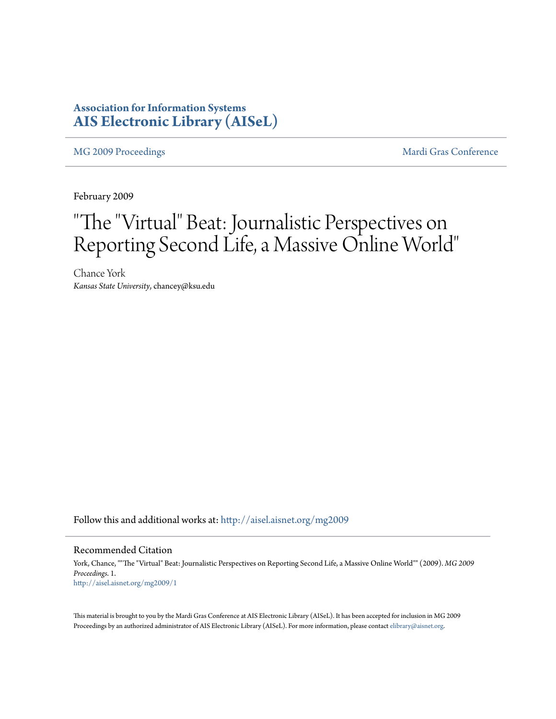### **Association for Information Systems [AIS Electronic Library \(AISeL\)](http://aisel.aisnet.org?utm_source=aisel.aisnet.org%2Fmg2009%2F1&utm_medium=PDF&utm_campaign=PDFCoverPages)**

[MG 2009 Proceedings](http://aisel.aisnet.org/mg2009?utm_source=aisel.aisnet.org%2Fmg2009%2F1&utm_medium=PDF&utm_campaign=PDFCoverPages) and the [Mardi Gras Conference](http://aisel.aisnet.org/mg?utm_source=aisel.aisnet.org%2Fmg2009%2F1&utm_medium=PDF&utm_campaign=PDFCoverPages) Mardi Gras Conference

February 2009

# "The "Virtual" Beat: Journalistic Perspectives on Reporting Second Life, a Massive Online World"

Chance York *Kansas State University*, chancey@ksu.edu

Follow this and additional works at: [http://aisel.aisnet.org/mg2009](http://aisel.aisnet.org/mg2009?utm_source=aisel.aisnet.org%2Fmg2009%2F1&utm_medium=PDF&utm_campaign=PDFCoverPages)

#### Recommended Citation

York, Chance, ""The "Virtual" Beat: Journalistic Perspectives on Reporting Second Life, a Massive Online World"" (2009). *MG 2009 Proceedings*. 1. [http://aisel.aisnet.org/mg2009/1](http://aisel.aisnet.org/mg2009/1?utm_source=aisel.aisnet.org%2Fmg2009%2F1&utm_medium=PDF&utm_campaign=PDFCoverPages)

This material is brought to you by the Mardi Gras Conference at AIS Electronic Library (AISeL). It has been accepted for inclusion in MG 2009 Proceedings by an authorized administrator of AIS Electronic Library (AISeL). For more information, please contact [elibrary@aisnet.org](mailto:elibrary@aisnet.org%3E).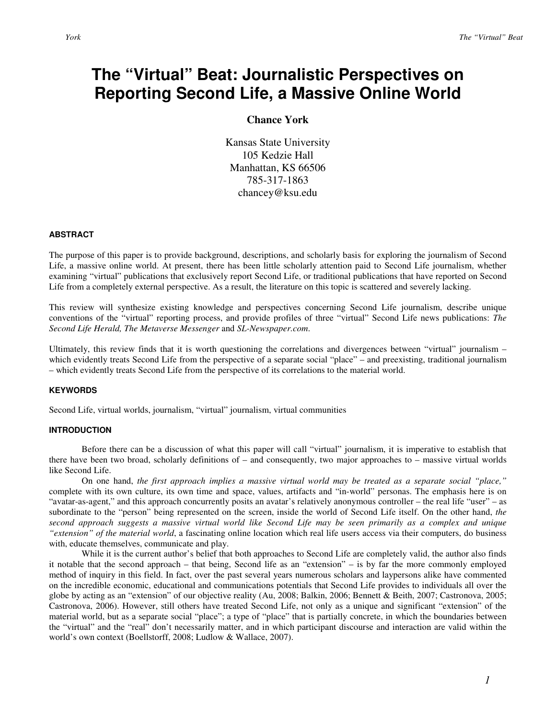## **The "Virtual" Beat: Journalistic Perspectives on Reporting Second Life, a Massive Online World**

#### **Chance York**

Kansas State University 105 Kedzie Hall Manhattan, KS 66506 785-317-1863 chancey@ksu.edu

#### **ABSTRACT**

The purpose of this paper is to provide background, descriptions, and scholarly basis for exploring the journalism of Second Life, a massive online world. At present, there has been little scholarly attention paid to Second Life journalism, whether examining "virtual" publications that exclusively report Second Life, or traditional publications that have reported on Second Life from a completely external perspective. As a result, the literature on this topic is scattered and severely lacking.

This review will synthesize existing knowledge and perspectives concerning Second Life journalism, describe unique conventions of the "virtual" reporting process, and provide profiles of three "virtual" Second Life news publications: *The Second Life Herald, The Metaverse Messenger* and *SL-Newspaper.com*.

Ultimately, this review finds that it is worth questioning the correlations and divergences between "virtual" journalism – which evidently treats Second Life from the perspective of a separate social "place" – and preexisting, traditional journalism – which evidently treats Second Life from the perspective of its correlations to the material world.

#### **KEYWORDS**

Second Life, virtual worlds, journalism, "virtual" journalism, virtual communities

#### **INTRODUCTION**

Before there can be a discussion of what this paper will call "virtual" journalism, it is imperative to establish that there have been two broad, scholarly definitions of – and consequently, two major approaches to – massive virtual worlds like Second Life.

On one hand, *the first approach implies a massive virtual world may be treated as a separate social "place,"* complete with its own culture, its own time and space, values, artifacts and "in-world" personas. The emphasis here is on "avatar-as-agent," and this approach concurrently posits an avatar's relatively anonymous controller – the real life "user" – as subordinate to the "person" being represented on the screen, inside the world of Second Life itself. On the other hand, *the second approach suggests a massive virtual world like Second Life may be seen primarily as a complex and unique "extension" of the material world*, a fascinating online location which real life users access via their computers, do business with, educate themselves, communicate and play.

 While it is the current author's belief that both approaches to Second Life are completely valid, the author also finds it notable that the second approach – that being, Second life as an "extension" – is by far the more commonly employed method of inquiry in this field. In fact, over the past several years numerous scholars and laypersons alike have commented on the incredible economic, educational and communications potentials that Second Life provides to individuals all over the globe by acting as an "extension" of our objective reality (Au, 2008; Balkin, 2006; Bennett & Beith, 2007; Castronova, 2005; Castronova, 2006). However, still others have treated Second Life, not only as a unique and significant "extension" of the material world, but as a separate social "place"; a type of "place" that is partially concrete, in which the boundaries between the "virtual" and the "real" don't necessarily matter, and in which participant discourse and interaction are valid within the world's own context (Boellstorff, 2008; Ludlow & Wallace, 2007).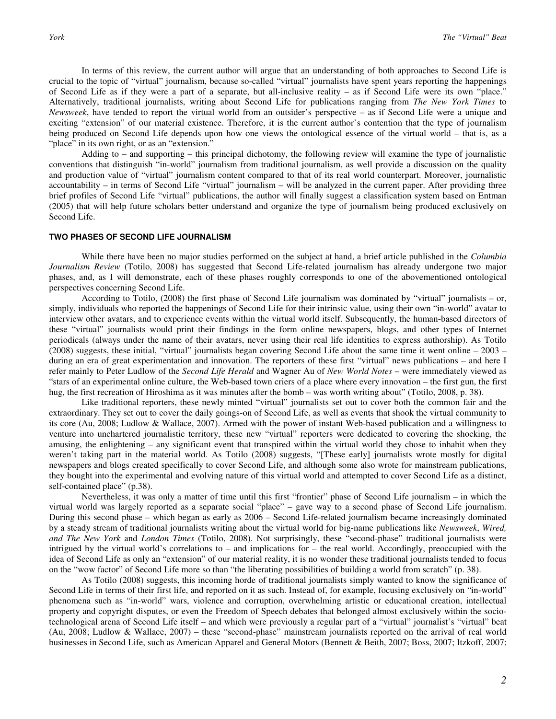In terms of this review, the current author will argue that an understanding of both approaches to Second Life is crucial to the topic of "virtual" journalism, because so-called "virtual" journalists have spent years reporting the happenings of Second Life as if they were a part of a separate, but all-inclusive reality – as if Second Life were its own "place." Alternatively, traditional journalists, writing about Second Life for publications ranging from *The New York Times* to *Newsweek*, have tended to report the virtual world from an outsider's perspective – as if Second Life were a unique and exciting "extension" of our material existence. Therefore, it is the current author's contention that the type of journalism being produced on Second Life depends upon how one views the ontological essence of the virtual world – that is, as a "place" in its own right, or as an "extension."

Adding to – and supporting – this principal dichotomy, the following review will examine the type of journalistic conventions that distinguish "in-world" journalism from traditional journalism, as well provide a discussion on the quality and production value of "virtual" journalism content compared to that of its real world counterpart. Moreover, journalistic accountability – in terms of Second Life "virtual" journalism – will be analyzed in the current paper. After providing three brief profiles of Second Life "virtual" publications, the author will finally suggest a classification system based on Entman (2005) that will help future scholars better understand and organize the type of journalism being produced exclusively on Second Life.

#### **TWO PHASES OF SECOND LIFE JOURNALISM**

While there have been no major studies performed on the subject at hand, a brief article published in the *Columbia Journalism Review* (Totilo, 2008) has suggested that Second Life-related journalism has already undergone two major phases, and, as I will demonstrate, each of these phases roughly corresponds to one of the abovementioned ontological perspectives concerning Second Life.

According to Totilo, (2008) the first phase of Second Life journalism was dominated by "virtual" journalists – or, simply, individuals who reported the happenings of Second Life for their intrinsic value, using their own "in-world" avatar to interview other avatars, and to experience events within the virtual world itself. Subsequently, the human-based directors of these "virtual" journalists would print their findings in the form online newspapers, blogs, and other types of Internet periodicals (always under the name of their avatars, never using their real life identities to express authorship). As Totilo (2008) suggests, these initial, "virtual" journalists began covering Second Life about the same time it went online – 2003 – during an era of great experimentation and innovation. The reporters of these first "virtual" news publications – and here I refer mainly to Peter Ludlow of the *Second Life Herald* and Wagner Au of *New World Notes* – were immediately viewed as "stars of an experimental online culture, the Web-based town criers of a place where every innovation – the first gun, the first hug, the first recreation of Hiroshima as it was minutes after the bomb – was worth writing about" (Totilo, 2008, p. 38).

Like traditional reporters, these newly minted "virtual" journalists set out to cover both the common fair and the extraordinary. They set out to cover the daily goings-on of Second Life, as well as events that shook the virtual community to its core (Au, 2008; Ludlow & Wallace, 2007). Armed with the power of instant Web-based publication and a willingness to venture into unchartered journalistic territory, these new "virtual" reporters were dedicated to covering the shocking, the amusing, the enlightening – any significant event that transpired within the virtual world they chose to inhabit when they weren't taking part in the material world. As Totilo (2008) suggests, "[These early] journalists wrote mostly for digital newspapers and blogs created specifically to cover Second Life, and although some also wrote for mainstream publications, they bought into the experimental and evolving nature of this virtual world and attempted to cover Second Life as a distinct, self-contained place" (p.38).

 Nevertheless, it was only a matter of time until this first "frontier" phase of Second Life journalism – in which the virtual world was largely reported as a separate social "place" – gave way to a second phase of Second Life journalism. During this second phase – which began as early as 2006 – Second Life-related journalism became increasingly dominated by a steady stream of traditional journalists writing about the virtual world for big-name publications like *Newsweek*, *Wired, and The New York* and *London Times* (Totilo, 2008). Not surprisingly, these "second-phase" traditional journalists were intrigued by the virtual world's correlations to – and implications for – the real world. Accordingly, preoccupied with the idea of Second Life as only an "extension" of our material reality, it is no wonder these traditional journalists tended to focus on the "wow factor" of Second Life more so than "the liberating possibilities of building a world from scratch" (p. 38).

 As Totilo (2008) suggests, this incoming horde of traditional journalists simply wanted to know the significance of Second Life in terms of their first life, and reported on it as such. Instead of, for example, focusing exclusively on "in-world" phenomena such as "in-world" wars, violence and corruption, overwhelming artistic or educational creation, intellectual property and copyright disputes, or even the Freedom of Speech debates that belonged almost exclusively within the sociotechnological arena of Second Life itself – and which were previously a regular part of a "virtual" journalist's "virtual" beat (Au, 2008; Ludlow & Wallace, 2007) – these "second-phase" mainstream journalists reported on the arrival of real world businesses in Second Life, such as American Apparel and General Motors (Bennett & Beith, 2007; Boss, 2007; Itzkoff, 2007;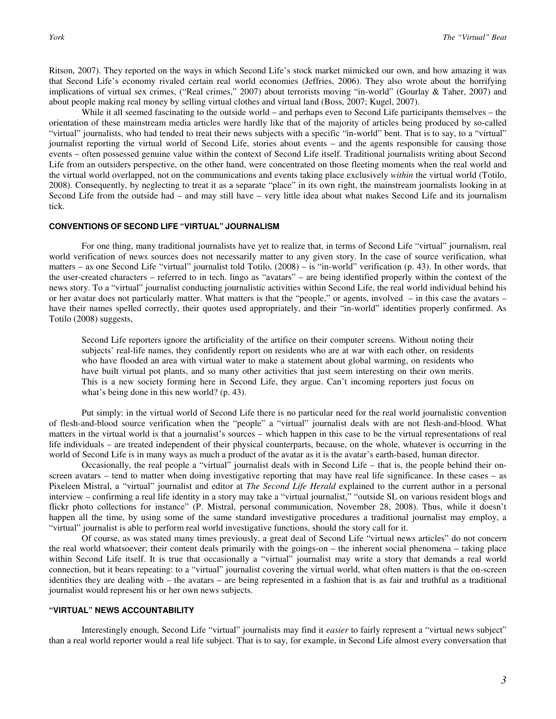Ritson, 2007). They reported on the ways in which Second Life's stock market mimicked our own, and how amazing it was that Second Life's economy rivaled certain real world economies (Jeffries, 2006). They also wrote about the horrifying implications of virtual sex crimes, ("Real crimes," 2007) about terrorists moving "in-world" (Gourlay & Taher, 2007) and about people making real money by selling virtual clothes and virtual land (Boss, 2007; Kugel, 2007).

While it all seemed fascinating to the outside world – and perhaps even to Second Life participants themselves – the orientation of these mainstream media articles were hardly like that of the majority of articles being produced by so-called "virtual" journalists, who had tended to treat their news subjects with a specific "in-world" bent. That is to say, to a "virtual" journalist reporting the virtual world of Second Life, stories about events – and the agents responsible for causing those events – often possessed genuine value within the context of Second Life itself. Traditional journalists writing about Second Life from an outsiders perspective, on the other hand, were concentrated on those fleeting moments when the real world and the virtual world overlapped, not on the communications and events taking place exclusively *within* the virtual world (Totilo, 2008). Consequently, by neglecting to treat it as a separate "place" in its own right, the mainstream journalists looking in at Second Life from the outside had – and may still have – very little idea about what makes Second Life and its journalism tick.

#### **CONVENTIONS OF SECOND LIFE "VIRTUAL" JOURNALISM**

For one thing, many traditional journalists have yet to realize that, in terms of Second Life "virtual" journalism, real world verification of news sources does not necessarily matter to any given story. In the case of source verification, what matters – as one Second Life "virtual" journalist told Totilo, (2008) – is "in-world" verification (p. 43). In other words, that the user-created characters – referred to in tech. lingo as "avatars" – are being identified properly within the context of the news story. To a "virtual" journalist conducting journalistic activities within Second Life, the real world individual behind his or her avatar does not particularly matter. What matters is that the "people," or agents, involved – in this case the avatars – have their names spelled correctly, their quotes used appropriately, and their "in-world" identities properly confirmed. As Totilo (2008) suggests,

Second Life reporters ignore the artificiality of the artifice on their computer screens. Without noting their subjects' real-life names, they confidently report on residents who are at war with each other, on residents who have flooded an area with virtual water to make a statement about global warming, on residents who have built virtual pot plants, and so many other activities that just seem interesting on their own merits. This is a new society forming here in Second Life, they argue. Can't incoming reporters just focus on what's being done in this new world? (p. 43).

 Put simply: in the virtual world of Second Life there is no particular need for the real world journalistic convention of flesh-and-blood source verification when the "people" a "virtual" journalist deals with are not flesh-and-blood. What matters in the virtual world is that a journalist's sources – which happen in this case to be the virtual representations of real life individuals – are treated independent of their physical counterparts, because, on the whole, whatever is occurring in the world of Second Life is in many ways as much a product of the avatar as it is the avatar's earth-based, human director.

Occasionally, the real people a "virtual" journalist deals with in Second Life – that is, the people behind their onscreen avatars – tend to matter when doing investigative reporting that may have real life significance. In these cases – as Pixeleen Mistral, a "virtual" journalist and editor at *The Second Life Herald* explained to the current author in a personal interview – confirming a real life identity in a story may take a "virtual journalist," "outside SL on various resident blogs and flickr photo collections for instance" (P. Mistral, personal communication, November 28, 2008). Thus, while it doesn't happen all the time, by using some of the same standard investigative procedures a traditional journalist may employ, a "virtual" journalist is able to perform real world investigative functions, should the story call for it.

 Of course, as was stated many times previously, a great deal of Second Life "virtual news articles" do not concern the real world whatsoever; their content deals primarily with the goings-on – the inherent social phenomena – taking place within Second Life itself. It is true that occasionally a "virtual" journalist may write a story that demands a real world connection, but it bears repeating: to a "virtual" journalist covering the virtual world, what often matters is that the on-screen identities they are dealing with – the avatars – are being represented in a fashion that is as fair and truthful as a traditional journalist would represent his or her own news subjects.

#### **"VIRTUAL" NEWS ACCOUNTABILITY**

Interestingly enough, Second Life "virtual" journalists may find it *easier* to fairly represent a "virtual news subject" than a real world reporter would a real life subject. That is to say, for example, in Second Life almost every conversation that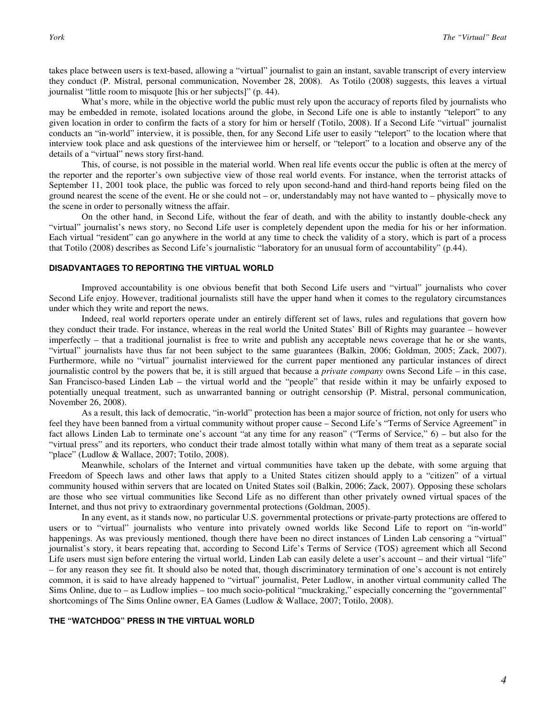takes place between users is text-based, allowing a "virtual" journalist to gain an instant, savable transcript of every interview they conduct (P. Mistral, personal communication, November 28, 2008). As Totilo (2008) suggests, this leaves a virtual journalist "little room to misquote [his or her subjects]" (p. 44).

What's more, while in the objective world the public must rely upon the accuracy of reports filed by journalists who may be embedded in remote, isolated locations around the globe, in Second Life one is able to instantly "teleport" to any given location in order to confirm the facts of a story for him or herself (Totilo, 2008). If a Second Life "virtual" journalist conducts an "in-world" interview, it is possible, then, for any Second Life user to easily "teleport" to the location where that interview took place and ask questions of the interviewee him or herself, or "teleport" to a location and observe any of the details of a "virtual" news story first-hand.

This, of course, is not possible in the material world. When real life events occur the public is often at the mercy of the reporter and the reporter's own subjective view of those real world events. For instance, when the terrorist attacks of September 11, 2001 took place, the public was forced to rely upon second-hand and third-hand reports being filed on the ground nearest the scene of the event. He or she could not – or, understandably may not have wanted to – physically move to the scene in order to personally witness the affair.

On the other hand, in Second Life, without the fear of death, and with the ability to instantly double-check any "virtual" journalist's news story, no Second Life user is completely dependent upon the media for his or her information. Each virtual "resident" can go anywhere in the world at any time to check the validity of a story, which is part of a process that Totilo (2008) describes as Second Life's journalistic "laboratory for an unusual form of accountability" (p.44).

#### **DISADVANTAGES TO REPORTING THE VIRTUAL WORLD**

 Improved accountability is one obvious benefit that both Second Life users and "virtual" journalists who cover Second Life enjoy. However, traditional journalists still have the upper hand when it comes to the regulatory circumstances under which they write and report the news.

Indeed, real world reporters operate under an entirely different set of laws, rules and regulations that govern how they conduct their trade. For instance, whereas in the real world the United States' Bill of Rights may guarantee – however imperfectly – that a traditional journalist is free to write and publish any acceptable news coverage that he or she wants, "virtual" journalists have thus far not been subject to the same guarantees (Balkin, 2006; Goldman, 2005; Zack, 2007). Furthermore, while no "virtual" journalist interviewed for the current paper mentioned any particular instances of direct journalistic control by the powers that be, it is still argued that because a *private company* owns Second Life – in this case, San Francisco-based Linden Lab – the virtual world and the "people" that reside within it may be unfairly exposed to potentially unequal treatment, such as unwarranted banning or outright censorship (P. Mistral, personal communication, November 26, 2008).

As a result, this lack of democratic, "in-world" protection has been a major source of friction, not only for users who feel they have been banned from a virtual community without proper cause – Second Life's "Terms of Service Agreement" in fact allows Linden Lab to terminate one's account "at any time for any reason" ("Terms of Service," 6) – but also for the "virtual press" and its reporters, who conduct their trade almost totally within what many of them treat as a separate social "place" (Ludlow & Wallace, 2007; Totilo, 2008).

Meanwhile, scholars of the Internet and virtual communities have taken up the debate, with some arguing that Freedom of Speech laws and other laws that apply to a United States citizen should apply to a "citizen" of a virtual community housed within servers that are located on United States soil (Balkin, 2006; Zack, 2007). Opposing these scholars are those who see virtual communities like Second Life as no different than other privately owned virtual spaces of the Internet, and thus not privy to extraordinary governmental protections (Goldman, 2005).

In any event, as it stands now, no particular U.S. governmental protections or private-party protections are offered to users or to "virtual" journalists who venture into privately owned worlds like Second Life to report on "in-world" happenings. As was previously mentioned, though there have been no direct instances of Linden Lab censoring a "virtual" journalist's story, it bears repeating that, according to Second Life's Terms of Service (TOS) agreement which all Second Life users must sign before entering the virtual world, Linden Lab can easily delete a user's account – and their virtual "life" – for any reason they see fit. It should also be noted that, though discriminatory termination of one's account is not entirely common, it is said to have already happened to "virtual" journalist, Peter Ludlow, in another virtual community called The Sims Online, due to – as Ludlow implies – too much socio-political "muckraking," especially concerning the "governmental" shortcomings of The Sims Online owner, EA Games (Ludlow & Wallace, 2007; Totilo, 2008).

#### **THE "WATCHDOG" PRESS IN THE VIRTUAL WORLD**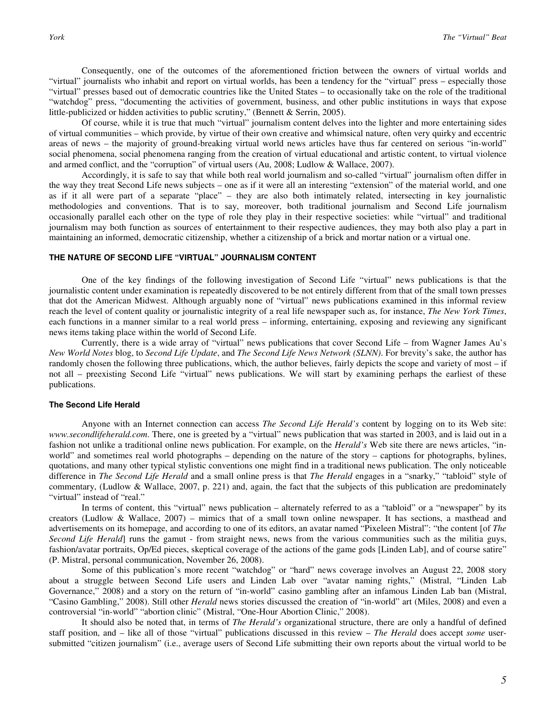Consequently, one of the outcomes of the aforementioned friction between the owners of virtual worlds and "virtual" journalists who inhabit and report on virtual worlds, has been a tendency for the "virtual" press – especially those "virtual" presses based out of democratic countries like the United States – to occasionally take on the role of the traditional "watchdog" press, "documenting the activities of government, business, and other public institutions in ways that expose little-publicized or hidden activities to public scrutiny," (Bennett & Serrin, 2005).

Of course, while it is true that much "virtual" journalism content delves into the lighter and more entertaining sides of virtual communities – which provide, by virtue of their own creative and whimsical nature, often very quirky and eccentric areas of news – the majority of ground-breaking virtual world news articles have thus far centered on serious "in-world" social phenomena, social phenomena ranging from the creation of virtual educational and artistic content, to virtual violence and armed conflict, and the "corruption" of virtual users (Au, 2008; Ludlow & Wallace, 2007).

Accordingly, it is safe to say that while both real world journalism and so-called "virtual" journalism often differ in the way they treat Second Life news subjects – one as if it were all an interesting "extension" of the material world, and one as if it all were part of a separate "place" – they are also both intimately related, intersecting in key journalistic methodologies and conventions. That is to say, moreover, both traditional journalism and Second Life journalism occasionally parallel each other on the type of role they play in their respective societies: while "virtual" and traditional journalism may both function as sources of entertainment to their respective audiences, they may both also play a part in maintaining an informed, democratic citizenship, whether a citizenship of a brick and mortar nation or a virtual one.

#### **THE NATURE OF SECOND LIFE "VIRTUAL" JOURNALISM CONTENT**

 One of the key findings of the following investigation of Second Life "virtual" news publications is that the journalistic content under examination is repeatedly discovered to be not entirely different from that of the small town presses that dot the American Midwest. Although arguably none of "virtual" news publications examined in this informal review reach the level of content quality or journalistic integrity of a real life newspaper such as, for instance, *The New York Times*, each functions in a manner similar to a real world press – informing, entertaining, exposing and reviewing any significant news items taking place within the world of Second Life.

Currently, there is a wide array of "virtual" news publications that cover Second Life – from Wagner James Au's *New World Notes* blog, to *Second Life Update*, and *The Second Life News Network (SLNN)*. For brevity's sake, the author has randomly chosen the following three publications, which, the author believes, fairly depicts the scope and variety of most – if not all – preexisting Second Life "virtual" news publications. We will start by examining perhaps the earliest of these publications.

#### **The Second Life Herald**

 Anyone with an Internet connection can access *The Second Life Herald's* content by logging on to its Web site: *www.secondlifeherald.com*. There, one is greeted by a "virtual" news publication that was started in 2003, and is laid out in a fashion not unlike a traditional online news publication. For example, on the *Herald's* Web site there are news articles, "inworld" and sometimes real world photographs – depending on the nature of the story – captions for photographs, bylines, quotations, and many other typical stylistic conventions one might find in a traditional news publication. The only noticeable difference in *The Second Life Herald* and a small online press is that *The Herald* engages in a "snarky," "tabloid" style of commentary, (Ludlow & Wallace, 2007, p. 221) and, again, the fact that the subjects of this publication are predominately "virtual" instead of "real."

In terms of content, this "virtual" news publication – alternately referred to as a "tabloid" or a "newspaper" by its creators (Ludlow & Wallace, 2007) – mimics that of a small town online newspaper. It has sections, a masthead and advertisements on its homepage, and according to one of its editors, an avatar named "Pixeleen Mistral": "the content [of *The Second Life Herald*] runs the gamut - from straight news, news from the various communities such as the militia guys, fashion/avatar portraits, Op/Ed pieces, skeptical coverage of the actions of the game gods [Linden Lab], and of course satire" (P. Mistral, personal communication, November 26, 2008).

Some of this publication's more recent "watchdog" or "hard" news coverage involves an August 22, 2008 story about a struggle between Second Life users and Linden Lab over "avatar naming rights," (Mistral, "Linden Lab Governance," 2008) and a story on the return of "in-world" casino gambling after an infamous Linden Lab ban (Mistral, "Casino Gambling," 2008). Still other *Herald* news stories discussed the creation of "in-world" art (Miles, 2008) and even a controversial "in-world" "abortion clinic" (Mistral, "One-Hour Abortion Clinic," 2008).

It should also be noted that, in terms of *The Herald's* organizational structure, there are only a handful of defined staff position, and – like all of those "virtual" publications discussed in this review – *The Herald* does accept *some* usersubmitted "citizen journalism" (i.e., average users of Second Life submitting their own reports about the virtual world to be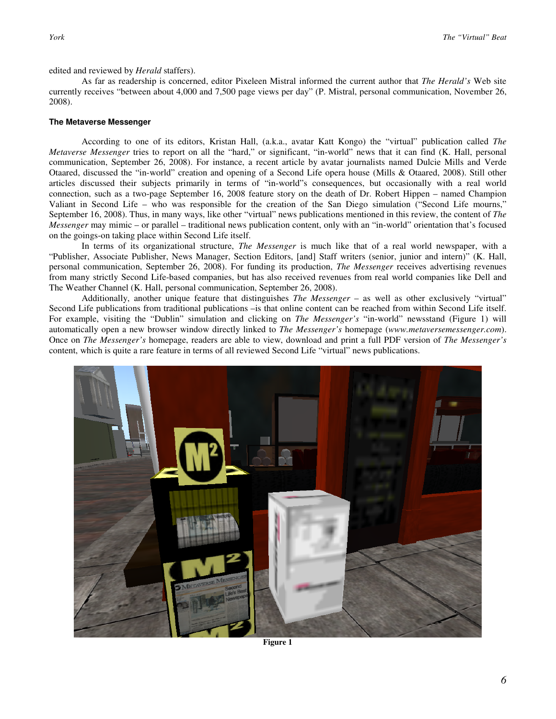edited and reviewed by *Herald* staffers).

As far as readership is concerned, editor Pixeleen Mistral informed the current author that *The Herald's* Web site currently receives "between about 4,000 and 7,500 page views per day" (P. Mistral, personal communication, November 26, 2008).

#### **The Metaverse Messenger**

 According to one of its editors, Kristan Hall, (a.k.a., avatar Katt Kongo) the "virtual" publication called *The Metaverse Messenger* tries to report on all the "hard," or significant, "in-world" news that it can find (K. Hall, personal communication, September 26, 2008). For instance, a recent article by avatar journalists named Dulcie Mills and Verde Otaared, discussed the "in-world" creation and opening of a Second Life opera house (Mills & Otaared, 2008). Still other articles discussed their subjects primarily in terms of "in-world"s consequences, but occasionally with a real world connection, such as a two-page September 16, 2008 feature story on the death of Dr. Robert Hippen – named Champion Valiant in Second Life – who was responsible for the creation of the San Diego simulation ("Second Life mourns," September 16, 2008). Thus, in many ways, like other "virtual" news publications mentioned in this review, the content of *The Messenger* may mimic – or parallel – traditional news publication content, only with an "in-world" orientation that's focused on the goings-on taking place within Second Life itself.

In terms of its organizational structure, *The Messenger* is much like that of a real world newspaper, with a "Publisher, Associate Publisher, News Manager, Section Editors, [and] Staff writers (senior, junior and intern)" (K. Hall, personal communication, September 26, 2008). For funding its production, *The Messenger* receives advertising revenues from many strictly Second Life-based companies, but has also received revenues from real world companies like Dell and The Weather Channel (K. Hall, personal communication, September 26, 2008).

Additionally, another unique feature that distinguishes *The Messenger* – as well as other exclusively "virtual" Second Life publications from traditional publications –is that online content can be reached from within Second Life itself. For example, visiting the "Dublin" simulation and clicking on *The Messenger's* "in-world" newsstand (Figure 1) will automatically open a new browser window directly linked to *The Messenger's* homepage (*www.metaversemessenger.com*). Once on *The Messenger's* homepage, readers are able to view, download and print a full PDF version of *The Messenger's*  content, which is quite a rare feature in terms of all reviewed Second Life "virtual" news publications.



**Figure 1**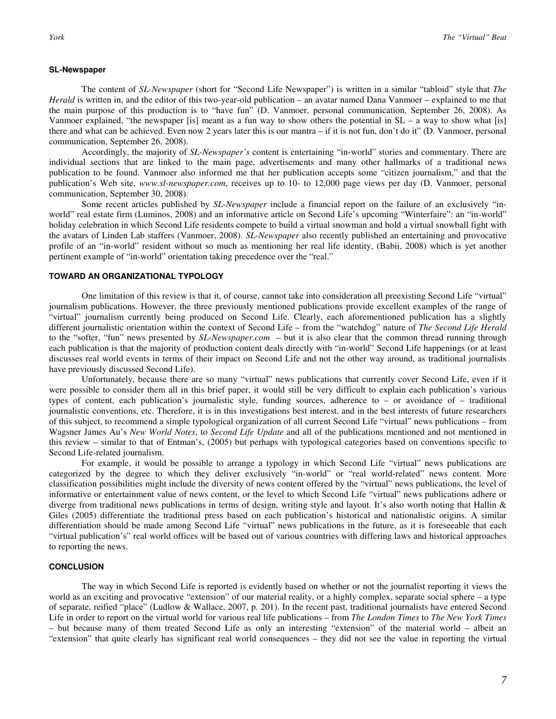#### **SL-Newspaper**

 The content of *SL-Newspaper* (short for "Second Life Newspaper") is written in a similar "tabloid" style that *The Herald* is written in, and the editor of this two-year-old publication – an avatar named Dana Vanmoer – explained to me that the main purpose of this production is to "have fun" (D. Vanmoer, personal communication, September 26, 2008). As Vanmoer explained, "the newspaper [is] meant as a fun way to show others the potential in  $SL - a$  way to show what [is] there and what can be achieved. Even now 2 years later this is our mantra – if it is not fun, don't do it" (D. Vanmoer, personal communication, September 26, 2008).

 Accordingly, the majority of *SL-Newspaper's* content is entertaining "in-world" stories and commentary. There are individual sections that are linked to the main page, advertisements and many other hallmarks of a traditional news publication to be found. Vanmoer also informed me that her publication accepts some "citizen journalism," and that the publication's Web site, *www.sl-newspaper.com*, receives up to 10- to 12,000 page views per day (D. Vanmoer, personal communication, September 30, 2008).

 Some recent articles published by *SL-Newspaper* include a financial report on the failure of an exclusively "inworld" real estate firm (Luminos, 2008) and an informative article on Second Life's upcoming "Winterfaire": an "in-world" holiday celebration in which Second Life residents compete to build a virtual snowman and hold a virtual snowball fight with the avatars of Linden Lab staffers (Vanmoer, 2008). *SL-Newspaper* also recently published an entertaining and provocative profile of an "in-world" resident without so much as mentioning her real life identity, (Babii, 2008) which is yet another pertinent example of "in-world" orientation taking precedence over the "real."

#### **TOWARD AN ORGANIZATIONAL TYPOLOGY**

 One limitation of this review is that it, of course, cannot take into consideration all preexisting Second Life "virtual" journalism publications. However, the three previously mentioned publications provide excellent examples of the range of "virtual" journalism currently being produced on Second Life. Clearly, each aforementioned publication has a slightly different journalistic orientation within the context of Second Life – from the "watchdog" nature of *The Second Life Herald* to the "softer, "fun" news presented by *SL-Newspaper.com* – but it is also clear that the common thread running through each publication is that the majority of production content deals directly with "in-world" Second Life happenings (or at least discusses real world events in terms of their impact on Second Life and not the other way around, as traditional journalists have previously discussed Second Life).

 Unfortunately, because there are so many "virtual" news publications that currently cover Second Life, even if it were possible to consider them all in this brief paper, it would still be very difficult to explain each publication's various types of content, each publication's journalistic style, funding sources, adherence to – or avoidance of – traditional journalistic conventions, etc. Therefore, it is in this investigations best interest, and in the best interests of future researchers of this subject, to recommend a simple typological organization of all current Second Life "virtual" news publications – from Wagsner James Au's *New World Notes*, to *Second Life Update* and all of the publications mentioned and not mentioned in this review – similar to that of Entman's, (2005) but perhaps with typological categories based on conventions specific to Second Life-related journalism.

 For example, it would be possible to arrange a typology in which Second Life "virtual" news publications are categorized by the degree to which they deliver exclusively "in-world" or "real world-related" news content. More classification possibilities might include the diversity of news content offered by the "virtual" news publications, the level of informative or entertainment value of news content, or the level to which Second Life "virtual" news publications adhere or diverge from traditional news publications in terms of design, writing style and layout. It's also worth noting that Hallin & Giles (2005) differentiate the traditional press based on each publication's historical and nationalistic origins. A similar differentiation should be made among Second Life "virtual" news publications in the future, as it is foreseeable that each "virtual publication's" real world offices will be based out of various countries with differing laws and historical approaches to reporting the news.

#### **CONCLUSION**

 The way in which Second Life is reported is evidently based on whether or not the journalist reporting it views the world as an exciting and provocative "extension" of our material reality, or a highly complex, separate social sphere – a type of separate, reified "place" (Ludlow & Wallace, 2007, p. 201). In the recent past, traditional journalists have entered Second Life in order to report on the virtual world for various real life publications – from *The London Times* to *The New York Times* – but because many of them treated Second Life as only an interesting "extension" of the material world – albeit an "extension" that quite clearly has significant real world consequences – they did not see the value in reporting the virtual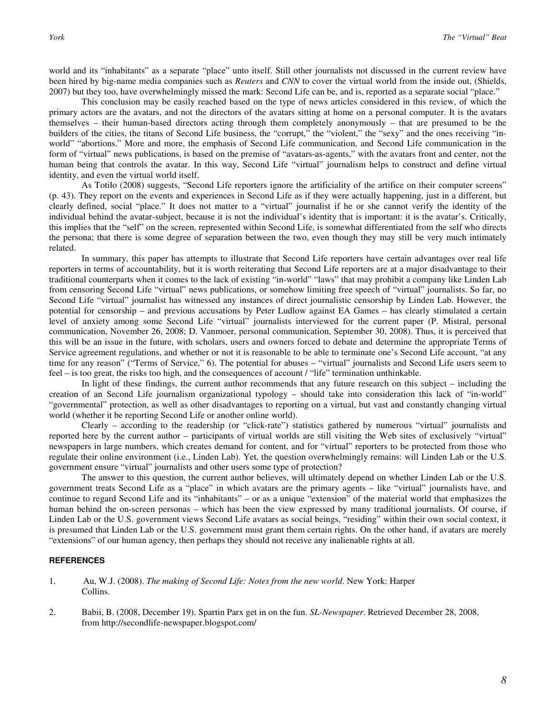world and its "inhabitants" as a separate "place" unto itself. Still other journalists not discussed in the current review have been hired by big-name media companies such as *Reuters* and *CNN* to cover the virtual world from the inside out, (Shields, 2007) but they too, have overwhelmingly missed the mark: Second Life can be, and is, reported as a separate social "place."

 This conclusion may be easily reached based on the type of news articles considered in this review, of which the primary actors are the avatars, and not the directors of the avatars sitting at home on a personal computer. It is the avatars themselves – their human-based directors acting through them completely anonymously – that are presumed to be the builders of the cities, the titans of Second Life business, the "corrupt," the "violent," the "sexy" and the ones receiving "inworld" "abortions." More and more, the emphasis of Second Life communication, and Second Life communication in the form of "virtual" news publications, is based on the premise of "avatars-as-agents," with the avatars front and center, not the human being that controls the avatar. In this way, Second Life "virtual" journalism helps to construct and define virtual identity, and even the virtual world itself.

 As Totilo (2008) suggests, "Second Life reporters ignore the artificiality of the artifice on their computer screens" (p. 43). They report on the events and experiences in Second Life as if they were actually happening, just in a different, but clearly defined, social "place." It does not matter to a "virtual" journalist if he or she cannot verify the identity of the individual behind the avatar-subject, because it is not the individual's identity that is important: it is the avatar's. Critically, this implies that the "self" on the screen, represented within Second Life, is somewhat differentiated from the self who directs the persona; that there is some degree of separation between the two, even though they may still be very much intimately related.

In summary, this paper has attempts to illustrate that Second Life reporters have certain advantages over real life reporters in terms of accountability, but it is worth reiterating that Second Life reporters are at a major disadvantage to their traditional counterparts when it comes to the lack of existing "in-world" "laws" that may prohibit a company like Linden Lab from censoring Second Life "virtual" news publications, or somehow limiting free speech of "virtual" journalists. So far, no Second Life "virtual" journalist has witnessed any instances of direct journalistic censorship by Linden Lab. However, the potential for censorship – and previous accusations by Peter Ludlow against EA Games – has clearly stimulated a certain level of anxiety among some Second Life "virtual" journalists interviewed for the current paper (P. Mistral, personal communication, November 26, 2008; D. Vanmoer, personal communication, September 30, 2008). Thus, it is perceived that this will be an issue in the future, with scholars, users and owners forced to debate and determine the appropriate Terms of Service agreement regulations, and whether or not it is reasonable to be able to terminate one's Second Life account, "at any time for any reason" ("Terms of Service," 6). The potential for abuses – "virtual" journalists and Second Life users seem to feel – is too great, the risks too high, and the consequences of account / "life" termination unthinkable.

In light of these findings, the current author recommends that any future research on this subject – including the creation of an Second Life journalism organizational typology – should take into consideration this lack of "in-world" "governmental" protection, as well as other disadvantages to reporting on a virtual, but vast and constantly changing virtual world (whether it be reporting Second Life or another online world).

Clearly – according to the readership (or "click-rate") statistics gathered by numerous "virtual" journalists and reported here by the current author – participants of virtual worlds are still visiting the Web sites of exclusively "virtual" newspapers in large numbers, which creates demand for content, and for "virtual" reporters to be protected from those who regulate their online environment (i.e., Linden Lab). Yet, the question overwhelmingly remains: will Linden Lab or the U.S. government ensure "virtual" journalists and other users some type of protection?

The answer to this question, the current author believes, will ultimately depend on whether Linden Lab or the U.S. government treats Second Life as a "place" in which avatars are the primary agents – like "virtual" journalists have, and continue to regard Second Life and its "inhabitants" – or as a unique "extension" of the material world that emphasizes the human behind the on-screen personas – which has been the view expressed by many traditional journalists. Of course, if Linden Lab or the U.S. government views Second Life avatars as social beings, "residing" within their own social context, it is presumed that Linden Lab or the U.S. government must grant them certain rights. On the other hand, if avatars are merely "extensions" of our human agency, then perhaps they should not receive any inalienable rights at all.

#### **REFERENCES**

#### 1. Au, W.J. (2008). *The making of Second Life: Notes from the new world*. New York: Harper Collins.

2. Babii, B. (2008, December 19). Spartin Parx get in on the fun. *SL-Newspaper*. Retrieved December 28, 2008, from http://secondlife-newspaper.blogspot.com/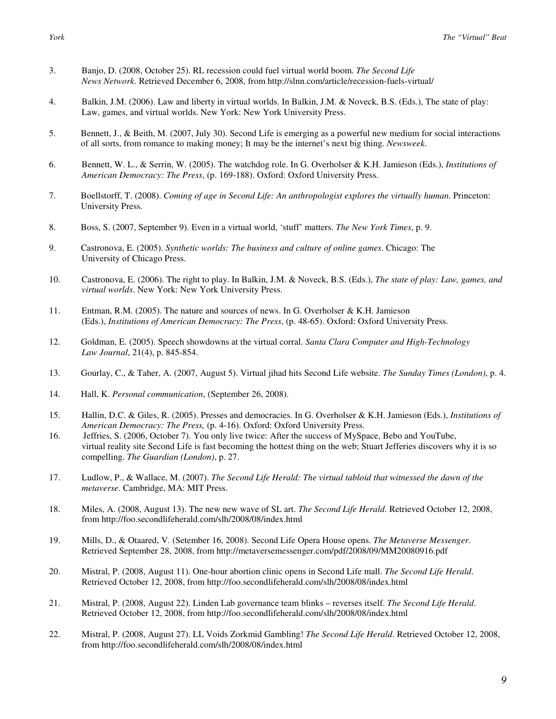- 3. Banjo, D. (2008, October 25). RL recession could fuel virtual world boom. *The Second Life News Network*. Retrieved December 6, 2008, from http://slnn.com/article/recession-fuels-virtual/
- 4. Balkin, J.M. (2006). Law and liberty in virtual worlds. In Balkin, J.M. & Noveck, B.S. (Eds.), The state of play: Law, games, and virtual worlds. New York: New York University Press.
- 5. Bennett, J., & Beith, M. (2007, July 30). Second Life is emerging as a powerful new medium for social interactions of all sorts, from romance to making money; It may be the internet's next big thing. *Newsweek*.
- 6. Bennett, W. L., & Serrin, W. (2005). The watchdog role. In G. Overholser & K.H. Jamieson (Eds.), *Institutions of American Democracy: The Press*, (p. 169-188). Oxford: Oxford University Press.
- 7. Boellstorff, T. (2008). *Coming of age in Second Life: An anthropologist explores the virtually human.* Princeton: University Press.
- 8. Boss, S. (2007, September 9). Even in a virtual world, 'stuff' matters. *The New York Times*, p. 9.
- 9. Castronova, E. (2005). *Synthetic worlds: The business and culture of online games*. Chicago: The University of Chicago Press.
- 10. Castronova, E. (2006). The right to play. In Balkin, J.M. & Noveck, B.S. (Eds.), *The state of play: Law, games, and virtual worlds*. New York: New York University Press.
- 11. Entman, R.M. (2005). The nature and sources of news. In G. Overholser & K.H. Jamieson (Eds.), *Institutions of American Democracy: The Press*, (p. 48-65). Oxford: Oxford University Press.
- 12. Goldman, E. (2005). Speech showdowns at the virtual corral. *Santa Clara Computer and High-Technology Law Journal*, 21(4), p. 845-854.
- 13. Gourlay, C., & Taher, A. (2007, August 5). Virtual jihad hits Second Life website. *The Sunday Times (London)*, p. 4.
- 14. Hall, K. *Personal communication*, (September 26, 2008).
- 15. Hallin, D.C. & Giles, R. (2005). Presses and democracies. In G. Overholser & K.H. Jamieson (Eds.), *Institutions of American Democracy: The Press,* (p. 4-16). Oxford: Oxford University Press.
- 16. Jeffries, S. (2006, October 7). You only live twice: After the success of MySpace, Bebo and YouTube, virtual reality site Second Life is fast becoming the hottest thing on the web; Stuart Jefferies discovers why it is so compelling. *The Guardian (London)*, p. 27.
- 17. Ludlow, P., & Wallace, M. (2007). *The Second Life Herald: The virtual tabloid that witnessed the dawn of the metaverse*. Cambridge, MA: MIT Press.
- 18. Miles, A. (2008, August 13). The new new wave of SL art. *The Second Life Herald*. Retrieved October 12, 2008, from http://foo.secondlifeherald.com/slh/2008/08/index.html
- 19. Mills, D., & Otaared, V. (Setember 16, 2008). Second Life Opera House opens. *The Metaverse Messenger*. Retrieved September 28, 2008, from http://metaversemessenger.com/pdf/2008/09/MM20080916.pdf
- 20. Mistral, P. (2008, August 11). One-hour abortion clinic opens in Second Life mall. *The Second Life Herald*. Retrieved October 12, 2008, from http://foo.secondlifeherald.com/slh/2008/08/index.html
- 21. Mistral, P. (2008, August 22). Linden Lab governance team blinks reverses itself. *The Second Life Herald*. Retrieved October 12, 2008, from http://foo.secondlifeherald.com/slh/2008/08/index.html
- 22. Mistral, P. (2008, August 27). LL Voids Zorkmid Gambling! *The Second Life Herald*. Retrieved October 12, 2008, from http://foo.secondlifeherald.com/slh/2008/08/index.html